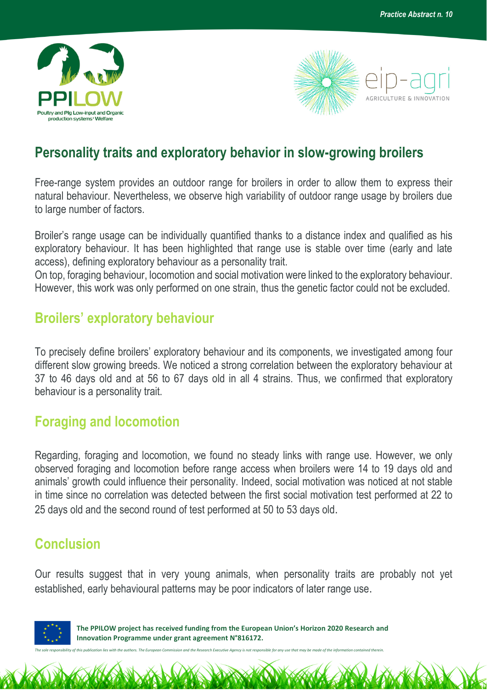



## **Personality traits and exploratory behavior in slow-growing broilers**

Free-range system provides an outdoor range for broilers in order to allow them to express their natural behaviour. Nevertheless, we observe high variability of outdoor range usage by broilers due to large number of factors.

Broiler's range usage can be individually quantified thanks to a distance index and qualified as his exploratory behaviour. It has been highlighted that range use is stable over time (early and late access), defining exploratory behaviour as a personality trait.

On top, foraging behaviour, locomotion and social motivation were linked to the exploratory behaviour. However, this work was only performed on one strain, thus the genetic factor could not be excluded.

## **Broilers' exploratory behaviour**

To precisely define broilers' exploratory behaviour and its components, we investigated among four different slow growing breeds. We noticed a strong correlation between the exploratory behaviour at 37 to 46 days old and at 56 to 67 days old in all 4 strains. Thus, we confirmed that exploratory behaviour is a personality trait.

## **Foraging and locomotion**

Regarding, foraging and locomotion, we found no steady links with range use. However, we only observed foraging and locomotion before range access when broilers were 14 to 19 days old and animals' growth could influence their personality. Indeed, social motivation was noticed at not stable in time since no correlation was detected between the first social motivation test performed at 22 to 25 days old and the second round of test performed at 50 to 53 days old.

## **Conclusion**

Our results suggest that in very young animals, when personality traits are probably not yet established, early behavioural patterns may be poor indicators of later range use.



 **The PPILOW project has received funding from the European Union's Horizon 2020 Research and Innovation Programme under grant agreement N°816172.**

*The sole responsibility of this publication lies with the authors. The European Commission and the Research Executive Agency is not responsible for any use that may be made of the information contained therein.*